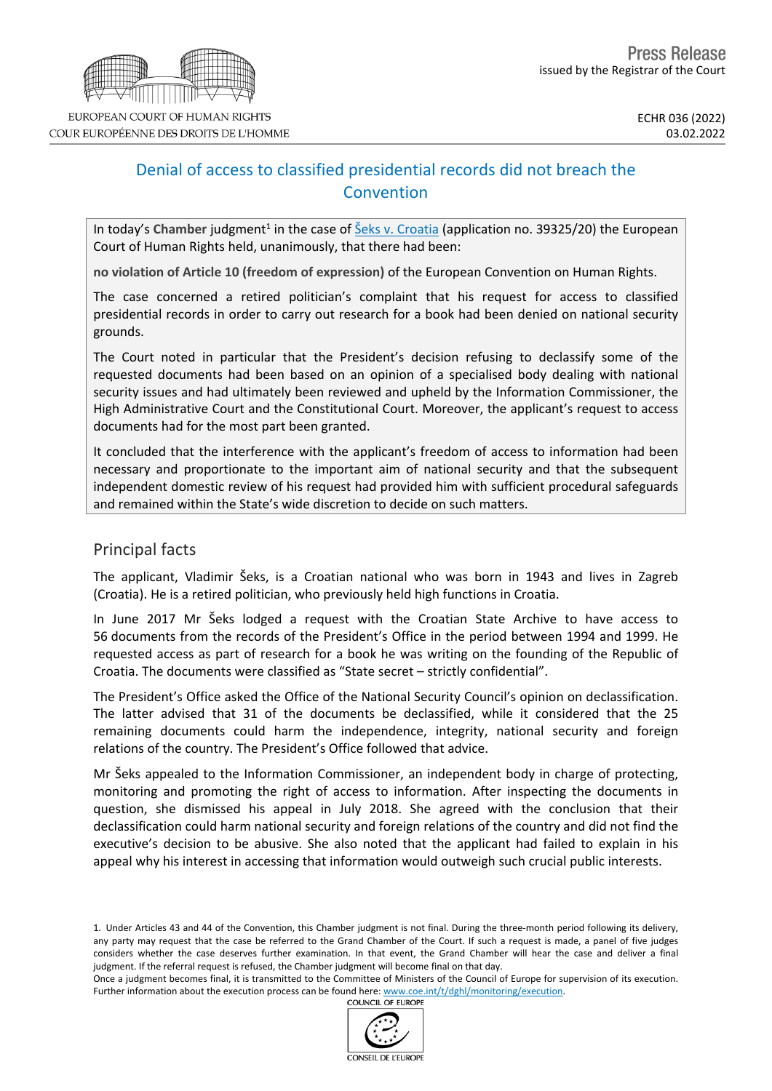

# Denial of access to classified presidential records did not breach the Convention

In today's Chamber judgment<sup>1</sup> in the case of **Šeks v. [Croatia](https://hudoc.echr.coe.int/fre?i=001-215642)** (application no. 39325/20) the European Court of Human Rights held, unanimously, that there had been:

**no violation of Article 10 (freedom of expression)** of the European Convention on Human Rights.

The case concerned a retired politician's complaint that his request for access to classified presidential records in order to carry out research for a book had been denied on national security grounds.

The Court noted in particular that the President's decision refusing to declassify some of the requested documents had been based on an opinion of a specialised body dealing with national security issues and had ultimately been reviewed and upheld by the Information Commissioner, the High Administrative Court and the Constitutional Court. Moreover, the applicant's request to access documents had for the most part been granted.

It concluded that the interference with the applicant's freedom of access to information had been necessary and proportionate to the important aim of national security and that the subsequent independent domestic review of his request had provided him with sufficient procedural safeguards and remained within the State's wide discretion to decide on such matters.

## Principal facts

The applicant, Vladimir Šeks, is a Croatian national who was born in 1943 and lives in Zagreb (Croatia). He is a retired politician, who previously held high functions in Croatia.

In June 2017 Mr Šeks lodged a request with the Croatian State Archive to have access to 56 documents from the records of the President's Office in the period between 1994 and 1999. He requested access as part of research for a book he was writing on the founding of the Republic of Croatia. The documents were classified as "State secret – strictly confidential".

The President's Office asked the Office of the National Security Council's opinion on declassification. The latter advised that 31 of the documents be declassified, while it considered that the 25 remaining documents could harm the independence, integrity, national security and foreign relations of the country. The President's Office followed that advice.

Mr Šeks appealed to the Information Commissioner, an independent body in charge of protecting, monitoring and promoting the right of access to information. After inspecting the documents in question, she dismissed his appeal in July 2018. She agreed with the conclusion that their declassification could harm national security and foreign relations of the country and did not find the executive's decision to be abusive. She also noted that the applicant had failed to explain in his appeal why his interest in accessing that information would outweigh such crucial public interests.

Once a judgment becomes final, it is transmitted to the Committee of Ministers of the Council of Europe for supervision of its execution. Further information about the execution process can be found here: [www.coe.int/t/dghl/monitoring/execution](http://www.coe.int/t/dghl/monitoring/execution). **COUNCIL OF EUROPE** 



<sup>1.</sup> Under Articles 43 and 44 of the Convention, this Chamber judgment is not final. During the three-month period following its delivery, any party may request that the case be referred to the Grand Chamber of the Court. If such a request is made, a panel of five judges considers whether the case deserves further examination. In that event, the Grand Chamber will hear the case and deliver a final judgment. If the referral request is refused, the Chamber judgment will become final on that day.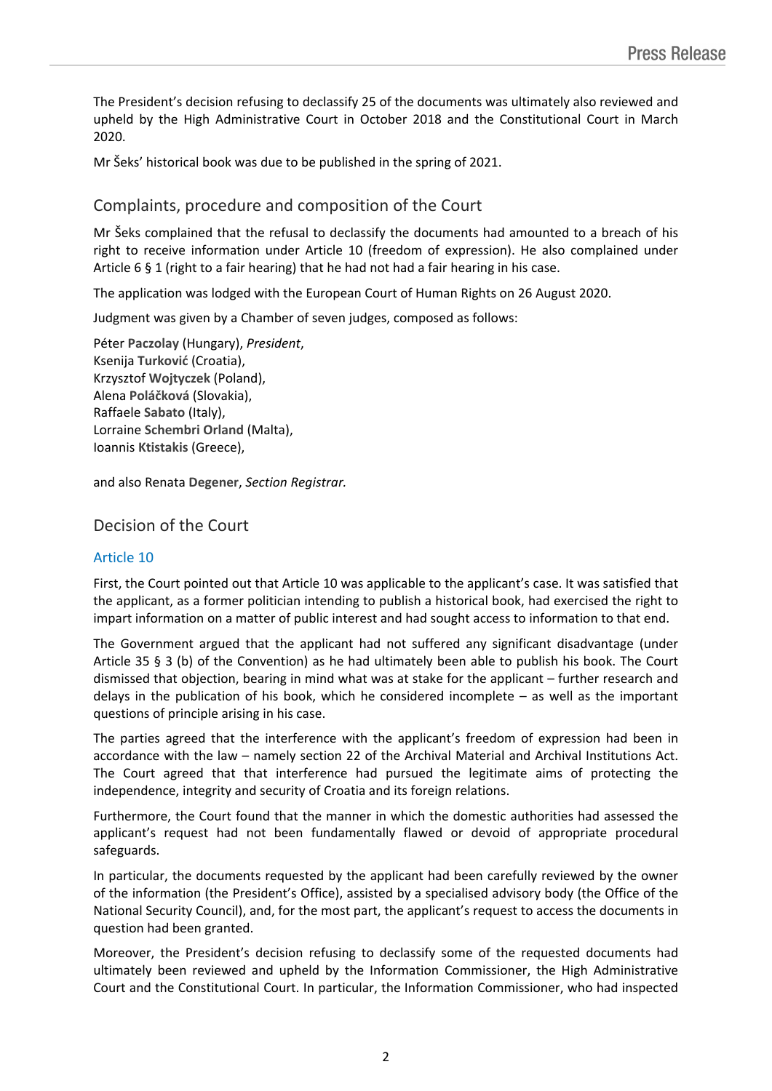The President's decision refusing to declassify 25 of the documents was ultimately also reviewed and upheld by the High Administrative Court in October 2018 and the Constitutional Court in March 2020.

Mr Šeks' historical book was due to be published in the spring of 2021.

## Complaints, procedure and composition of the Court

Mr Šeks complained that the refusal to declassify the documents had amounted to a breach of his right to receive information under Article 10 (freedom of expression). He also complained under Article  $6 \xi 1$  (right to a fair hearing) that he had not had a fair hearing in his case.

The application was lodged with the European Court of Human Rights on 26 August 2020.

Judgment was given by a Chamber of seven judges, composed as follows:

Péter **Paczolay** (Hungary), *President*, Ksenija **Turković** (Croatia), Krzysztof **Wojtyczek** (Poland), Alena **Poláčková** (Slovakia), Raffaele **Sabato** (Italy), Lorraine **Schembri Orland** (Malta), Ioannis **Ktistakis** (Greece),

and also Renata **Degener**, *Section Registrar.*

## Decision of the Court

### Article 10

First, the Court pointed out that Article 10 was applicable to the applicant's case. It was satisfied that the applicant, as a former politician intending to publish a historical book, had exercised the right to impart information on a matter of public interest and had sought access to information to that end.

The Government argued that the applicant had not suffered any significant disadvantage (under Article 35 § 3 (b) of the Convention) as he had ultimately been able to publish his book. The Court dismissed that objection, bearing in mind what was at stake for the applicant – further research and delays in the publication of his book, which he considered incomplete – as well as the important questions of principle arising in his case.

The parties agreed that the interference with the applicant's freedom of expression had been in accordance with the law – namely section 22 of the Archival Material and Archival Institutions Act. The Court agreed that that interference had pursued the legitimate aims of protecting the independence, integrity and security of Croatia and its foreign relations.

Furthermore, the Court found that the manner in which the domestic authorities had assessed the applicant's request had not been fundamentally flawed or devoid of appropriate procedural safeguards.

In particular, the documents requested by the applicant had been carefully reviewed by the owner of the information (the President's Office), assisted by a specialised advisory body (the Office of the National Security Council), and, for the most part, the applicant's request to access the documents in question had been granted.

Moreover, the President's decision refusing to declassify some of the requested documents had ultimately been reviewed and upheld by the Information Commissioner, the High Administrative Court and the Constitutional Court. In particular, the Information Commissioner, who had inspected